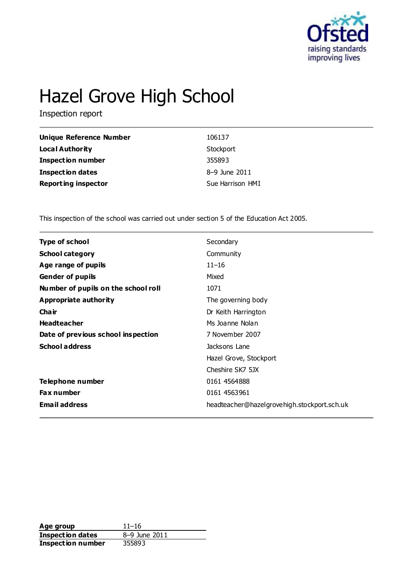

# Hazel Grove High School

Inspection report

| Unique Reference Number    | 106137           |
|----------------------------|------------------|
| <b>Local Authority</b>     | Stockport        |
| <b>Inspection number</b>   | 355893           |
| <b>Inspection dates</b>    | 8-9 June 2011    |
| <b>Reporting inspector</b> | Sue Harrison HMI |

This inspection of the school was carried out under section 5 of the Education Act 2005.

| <b>Type of school</b>               | Secondary                                   |
|-------------------------------------|---------------------------------------------|
| <b>School category</b>              | Community                                   |
| Age range of pupils                 | $11 - 16$                                   |
| <b>Gender of pupils</b>             | Mixed                                       |
| Number of pupils on the school roll | 1071                                        |
| Appropriate authority               | The governing body                          |
| Cha ir                              | Dr Keith Harrington                         |
| <b>Headteacher</b>                  | Ms Joanne Nolan                             |
| Date of previous school inspection  | 7 November 2007                             |
| <b>School address</b>               | Jacksons Lane                               |
|                                     | Hazel Grove, Stockport                      |
|                                     | Cheshire SK7 5JX                            |
| Telephone number                    | 0161 4564888                                |
| <b>Fax number</b>                   | 0161 4563961                                |
| <b>Email address</b>                | headteacher@hazelgrovehigh.stockport.sch.uk |
|                                     |                                             |

Age group<br> **Inspection dates** 8-9 June 2011 **Inspection dates Inspection number** 355893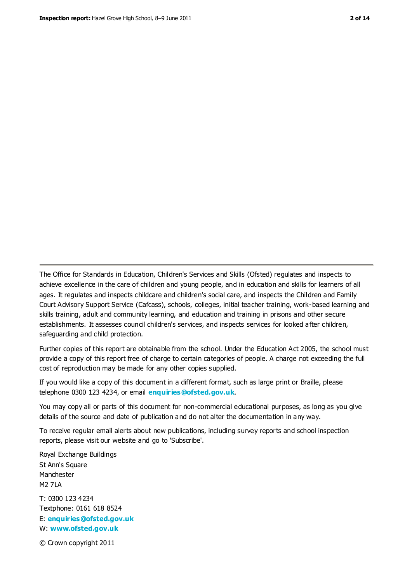The Office for Standards in Education, Children's Services and Skills (Ofsted) regulates and inspects to achieve excellence in the care of children and young people, and in education and skills for learners of all ages. It regulates and inspects childcare and children's social care, and inspects the Children and Family Court Advisory Support Service (Cafcass), schools, colleges, initial teacher training, work-based learning and skills training, adult and community learning, and education and training in prisons and other secure establishments. It assesses council children's services, and inspects services for looked after children, safeguarding and child protection.

Further copies of this report are obtainable from the school. Under the Education Act 2005, the school must provide a copy of this report free of charge to certain categories of people. A charge not exceeding the full cost of reproduction may be made for any other copies supplied.

If you would like a copy of this document in a different format, such as large print or Braille, please telephone 0300 123 4234, or email **[enquiries@ofsted.gov.uk](mailto:enquiries@ofsted.gov.uk)**.

You may copy all or parts of this document for non-commercial educational purposes, as long as you give details of the source and date of publication and do not alter the documentation in any way.

To receive regular email alerts about new publications, including survey reports and school inspection reports, please visit our website and go to 'Subscribe'.

Royal Exchange Buildings St Ann's Square Manchester M2 7LA T: 0300 123 4234 Textphone: 0161 618 8524 E: **[enquiries@ofsted.gov.uk](mailto:enquiries@ofsted.gov.uk)**

W: **[www.ofsted.gov.uk](http://www.ofsted.gov.uk/)**

© Crown copyright 2011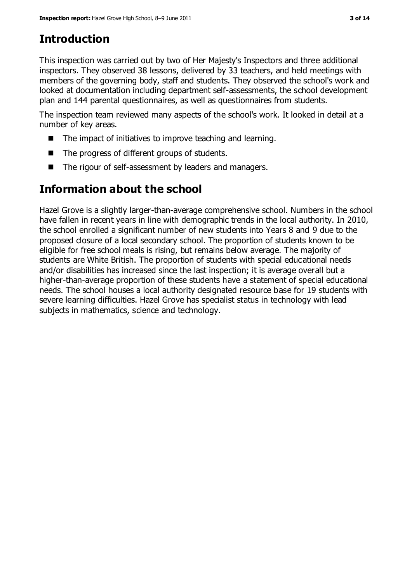# **Introduction**

This inspection was carried out by two of Her Majesty's Inspectors and three additional inspectors. They observed 38 lessons, delivered by 33 teachers, and held meetings with members of the governing body, staff and students. They observed the school's work and looked at documentation including department self-assessments, the school development plan and 144 parental questionnaires, as well as questionnaires from students.

The inspection team reviewed many aspects of the school's work. It looked in detail at a number of key areas.

- The impact of initiatives to improve teaching and learning.
- The progress of different groups of students.
- The rigour of self-assessment by leaders and managers.

## **Information about the school**

Hazel Grove is a slightly larger-than-average comprehensive school. Numbers in the school have fallen in recent years in line with demographic trends in the local authority. In 2010, the school enrolled a significant number of new students into Years 8 and 9 due to the proposed closure of a local secondary school. The proportion of students known to be eligible for free school meals is rising, but remains below average. The majority of students are White British. The proportion of students with special educational needs and/or disabilities has increased since the last inspection; it is average overall but a higher-than-average proportion of these students have a statement of special educational needs. The school houses a local authority designated resource base for 19 students with severe learning difficulties. Hazel Grove has specialist status in technology with lead subjects in mathematics, science and technology.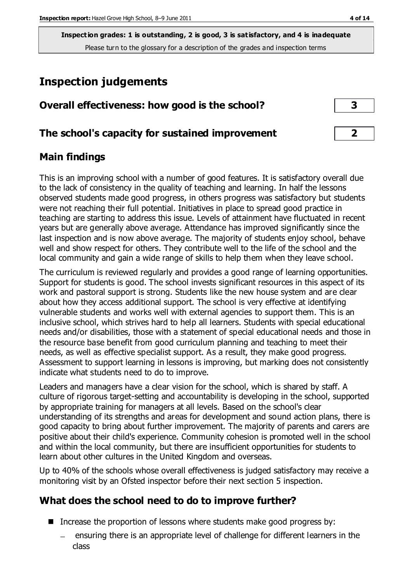## **Inspection judgements**

| Overall effectiveness: how good is the school? |  |
|------------------------------------------------|--|
|------------------------------------------------|--|

#### **The school's capacity for sustained improvement 2**

#### **Main findings**

This is an improving school with a number of good features. It is satisfactory overall due to the lack of consistency in the quality of teaching and learning. In half the lessons observed students made good progress, in others progress was satisfactory but students were not reaching their full potential. Initiatives in place to spread good practice in teaching are starting to address this issue. Levels of attainment have fluctuated in recent years but are generally above average. Attendance has improved significantly since the last inspection and is now above average. The majority of students enjoy school, behave well and show respect for others. They contribute well to the life of the school and the local community and gain a wide range of skills to help them when they leave school.

The curriculum is reviewed regularly and provides a good range of learning opportunities. Support for students is good. The school invests significant resources in this aspect of its work and pastoral support is strong. Students like the new house system and are clear about how they access additional support. The school is very effective at identifying vulnerable students and works well with external agencies to support them. This is an inclusive school, which strives hard to help all learners. Students with special educational needs and/or disabilities, those with a statement of special educational needs and those in the resource base benefit from good curriculum planning and teaching to meet their needs, as well as effective specialist support. As a result, they make good progress. Assessment to support learning in lessons is improving, but marking does not consistently indicate what students need to do to improve.

Leaders and managers have a clear vision for the school, which is shared by staff. A culture of rigorous target-setting and accountability is developing in the school, supported by appropriate training for managers at all levels. Based on the school's clear understanding of its strengths and areas for development and sound action plans, there is good capacity to bring about further improvement. The majority of parents and carers are positive about their child's experience. Community cohesion is promoted well in the school and within the local community, but there are insufficient opportunities for students to learn about other cultures in the United Kingdom and overseas.

Up to 40% of the schools whose overall effectiveness is judged satisfactory may receive a monitoring visit by an Ofsted inspector before their next section 5 inspection.

### **What does the school need to do to improve further?**

- Increase the proportion of lessons where students make good progress by:
	- ensuring there is an appropriate level of challenge for different learners in the class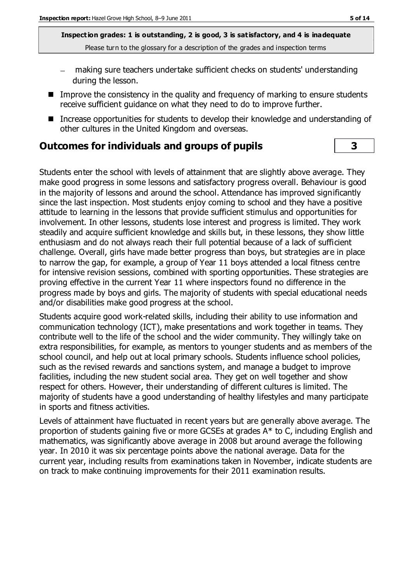- making sure teachers undertake sufficient checks on students' understanding during the lesson.
- Improve the consistency in the quality and frequency of marking to ensure students receive sufficient guidance on what they need to do to improve further.
- Increase opportunities for students to develop their knowledge and understanding of other cultures in the United Kingdom and overseas.

#### **Outcomes for individuals and groups of pupils 3**

Students enter the school with levels of attainment that are slightly above average. They make good progress in some lessons and satisfactory progress overall. Behaviour is good in the majority of lessons and around the school. Attendance has improved significantly since the last inspection. Most students enjoy coming to school and they have a positive attitude to learning in the lessons that provide sufficient stimulus and opportunities for involvement. In other lessons, students lose interest and progress is limited. They work steadily and acquire sufficient knowledge and skills but, in these lessons, they show little enthusiasm and do not always reach their full potential because of a lack of sufficient challenge. Overall, girls have made better progress than boys, but strategies are in place to narrow the gap, for example, a group of Year 11 boys attended a local fitness centre for intensive revision sessions, combined with sporting opportunities. These strategies are proving effective in the current Year 11 where inspectors found no difference in the progress made by boys and girls. The majority of students with special educational needs and/or disabilities make good progress at the school.

Students acquire good work-related skills, including their ability to use information and communication technology (ICT), make presentations and work together in teams. They contribute well to the life of the school and the wider community. They willingly take on extra responsibilities, for example, as mentors to younger students and as members of the school council, and help out at local primary schools. Students influence school policies, such as the revised rewards and sanctions system, and manage a budget to improve facilities, including the new student social area. They get on well together and show respect for others. However, their understanding of different cultures is limited. The majority of students have a good understanding of healthy lifestyles and many participate in sports and fitness activities.

Levels of attainment have fluctuated in recent years but are generally above average. The proportion of students gaining five or more GCSEs at grades A\* to C, including English and mathematics, was significantly above average in 2008 but around average the following year. In 2010 it was six percentage points above the national average. Data for the current year, including results from examinations taken in November, indicate students are on track to make continuing improvements for their 2011 examination results.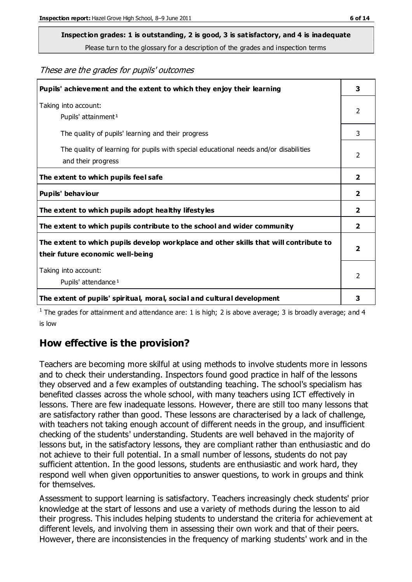# **Inspection grades: 1 is outstanding, 2 is good, 3 is satisfactory, and 4 is inadequate**

Please turn to the glossary for a description of the grades and inspection terms

These are the grades for pupils' outcomes

| Pupils' achievement and the extent to which they enjoy their learning                                                     |   |
|---------------------------------------------------------------------------------------------------------------------------|---|
| Taking into account:<br>Pupils' attainment <sup>1</sup>                                                                   | 2 |
| The quality of pupils' learning and their progress                                                                        | 3 |
| The quality of learning for pupils with special educational needs and/or disabilities<br>and their progress               |   |
| The extent to which pupils feel safe                                                                                      |   |
| Pupils' behaviour                                                                                                         |   |
| The extent to which pupils adopt healthy lifestyles                                                                       |   |
| The extent to which pupils contribute to the school and wider community                                                   |   |
| The extent to which pupils develop workplace and other skills that will contribute to<br>their future economic well-being |   |
| Taking into account:<br>Pupils' attendance <sup>1</sup>                                                                   |   |
| The extent of pupils' spiritual, moral, social and cultural development                                                   | 3 |

<sup>1</sup> The grades for attainment and attendance are: 1 is high; 2 is above average; 3 is broadly average; and 4 is low

#### **How effective is the provision?**

Teachers are becoming more skilful at using methods to involve students more in lessons and to check their understanding. Inspectors found good practice in half of the lessons they observed and a few examples of outstanding teaching. The school's specialism has benefited classes across the whole school, with many teachers using ICT effectively in lessons. There are few inadequate lessons. However, there are still too many lessons that are satisfactory rather than good. These lessons are characterised by a lack of challenge, with teachers not taking enough account of different needs in the group, and insufficient checking of the students' understanding. Students are well behaved in the majority of lessons but, in the satisfactory lessons, they are compliant rather than enthusiastic and do not achieve to their full potential. In a small number of lessons, students do not pay sufficient attention. In the good lessons, students are enthusiastic and work hard, they respond well when given opportunities to answer questions, to work in groups and think for themselves.

Assessment to support learning is satisfactory. Teachers increasingly check students' prior knowledge at the start of lessons and use a variety of methods during the lesson to aid their progress. This includes helping students to understand the criteria for achievement at different levels, and involving them in assessing their own work and that of their peers. However, there are inconsistencies in the frequency of marking students' work and in the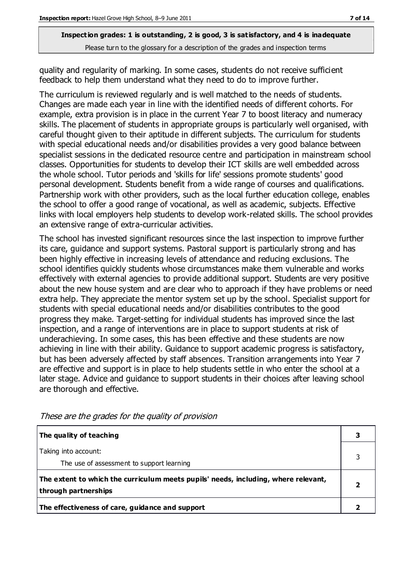quality and regularity of marking. In some cases, students do not receive sufficient feedback to help them understand what they need to do to improve further.

The curriculum is reviewed regularly and is well matched to the needs of students. Changes are made each year in line with the identified needs of different cohorts. For example, extra provision is in place in the current Year 7 to boost literacy and numeracy skills. The placement of students in appropriate groups is particularly well organised, with careful thought given to their aptitude in different subjects. The curriculum for students with special educational needs and/or disabilities provides a very good balance between specialist sessions in the dedicated resource centre and participation in mainstream school classes. Opportunities for students to develop their ICT skills are well embedded across the whole school. Tutor periods and 'skills for life' sessions promote students' good personal development. Students benefit from a wide range of courses and qualifications. Partnership work with other providers, such as the local further education college, enables the school to offer a good range of vocational, as well as academic, subjects. Effective links with local employers help students to develop work-related skills. The school provides an extensive range of extra-curricular activities.

The school has invested significant resources since the last inspection to improve further its care, guidance and support systems. Pastoral support is particularly strong and has been highly effective in increasing levels of attendance and reducing exclusions. The school identifies quickly students whose circumstances make them vulnerable and works effectively with external agencies to provide additional support. Students are very positive about the new house system and are clear who to approach if they have problems or need extra help. They appreciate the mentor system set up by the school. Specialist support for students with special educational needs and/or disabilities contributes to the good progress they make. Target-setting for individual students has improved since the last inspection, and a range of interventions are in place to support students at risk of underachieving. In some cases, this has been effective and these students are now achieving in line with their ability. Guidance to support academic progress is satisfactory, but has been adversely affected by staff absences. Transition arrangements into Year 7 are effective and support is in place to help students settle in who enter the school at a later stage. Advice and guidance to support students in their choices after leaving school are thorough and effective.

| The quality of teaching                                                                                    |  |
|------------------------------------------------------------------------------------------------------------|--|
| Taking into account:<br>The use of assessment to support learning                                          |  |
| The extent to which the curriculum meets pupils' needs, including, where relevant,<br>through partnerships |  |
| The effectiveness of care, guidance and support                                                            |  |

These are the grades for the quality of provision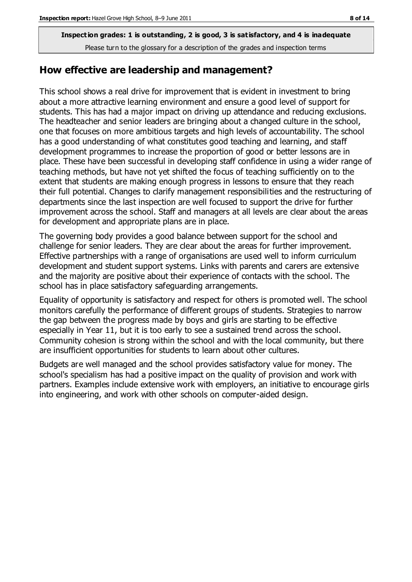#### **How effective are leadership and management?**

This school shows a real drive for improvement that is evident in investment to bring about a more attractive learning environment and ensure a good level of support for students. This has had a major impact on driving up attendance and reducing exclusions. The headteacher and senior leaders are bringing about a changed culture in the school, one that focuses on more ambitious targets and high levels of accountability. The school has a good understanding of what constitutes good teaching and learning, and staff development programmes to increase the proportion of good or better lessons are in place. These have been successful in developing staff confidence in using a wider range of teaching methods, but have not yet shifted the focus of teaching sufficiently on to the extent that students are making enough progress in lessons to ensure that they reach their full potential. Changes to clarify management responsibilities and the restructuring of departments since the last inspection are well focused to support the drive for further improvement across the school. Staff and managers at all levels are clear about the areas for development and appropriate plans are in place.

The governing body provides a good balance between support for the school and challenge for senior leaders. They are clear about the areas for further improvement. Effective partnerships with a range of organisations are used well to inform curriculum development and student support systems. Links with parents and carers are extensive and the majority are positive about their experience of contacts with the school. The school has in place satisfactory safeguarding arrangements.

Equality of opportunity is satisfactory and respect for others is promoted well. The school monitors carefully the performance of different groups of students. Strategies to narrow the gap between the progress made by boys and girls are starting to be effective especially in Year 11, but it is too early to see a sustained trend across the school. Community cohesion is strong within the school and with the local community, but there are insufficient opportunities for students to learn about other cultures.

Budgets are well managed and the school provides satisfactory value for money. The school's specialism has had a positive impact on the quality of provision and work with partners. Examples include extensive work with employers, an initiative to encourage girls into engineering, and work with other schools on computer-aided design.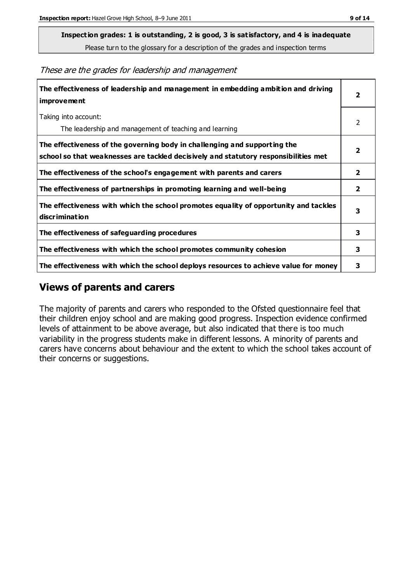**Inspection grades: 1 is outstanding, 2 is good, 3 is satisfactory, and 4 is inadequate**

Please turn to the glossary for a description of the grades and inspection terms

These are the grades for leadership and management

| The effectiveness of leadership and management in embedding ambition and driving<br><b>improvement</b>                                                           |                         |
|------------------------------------------------------------------------------------------------------------------------------------------------------------------|-------------------------|
| Taking into account:<br>The leadership and management of teaching and learning                                                                                   | 2                       |
| The effectiveness of the governing body in challenging and supporting the<br>school so that weaknesses are tackled decisively and statutory responsibilities met | $\overline{\mathbf{2}}$ |
| The effectiveness of the school's engagement with parents and carers                                                                                             | 2                       |
| The effectiveness of partnerships in promoting learning and well-being                                                                                           | $\overline{2}$          |
| The effectiveness with which the school promotes equality of opportunity and tackles<br><b>discrimination</b>                                                    | 3                       |
| The effectiveness of safeguarding procedures                                                                                                                     | 3                       |
| The effectiveness with which the school promotes community cohesion                                                                                              |                         |
| The effectiveness with which the school deploys resources to achieve value for money                                                                             |                         |

#### **Views of parents and carers**

The majority of parents and carers who responded to the Ofsted questionnaire feel that their children enjoy school and are making good progress. Inspection evidence confirmed levels of attainment to be above average, but also indicated that there is too much variability in the progress students make in different lessons. A minority of parents and carers have concerns about behaviour and the extent to which the school takes account of their concerns or suggestions.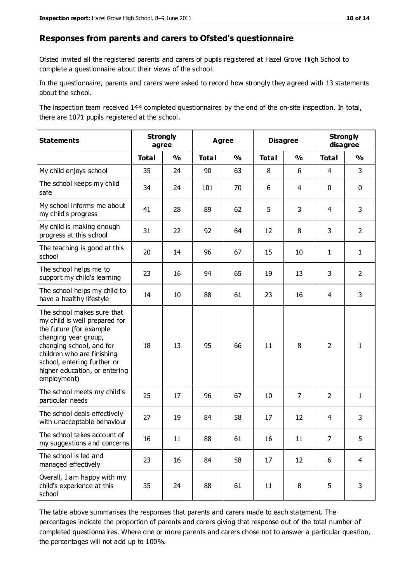#### **Responses from parents and carers to Ofsted's questionnaire**

Ofsted invited all the registered parents and carers of pupils registered at Hazel Grove High School to complete a questionnaire about their views of the school.

In the questionnaire, parents and carers were asked to record how strongly they agreed with 13 statements about the school.

The inspection team received 144 completed questionnaires by the end of the on-site inspection. In total, there are 1071 pupils registered at the school.

| <b>Statements</b>                                                                                                                                                                                                                                       | <b>Strongly</b><br>agree |               | <b>Agree</b> |               | <b>Disagree</b> |                | <b>Strongly</b><br>disagree |                |
|---------------------------------------------------------------------------------------------------------------------------------------------------------------------------------------------------------------------------------------------------------|--------------------------|---------------|--------------|---------------|-----------------|----------------|-----------------------------|----------------|
|                                                                                                                                                                                                                                                         | <b>Total</b>             | $\frac{1}{2}$ | <b>Total</b> | $\frac{1}{2}$ | <b>Total</b>    | $\frac{1}{2}$  | <b>Total</b>                | $\frac{1}{2}$  |
| My child enjoys school                                                                                                                                                                                                                                  | 35                       | 24            | 90           | 63            | 8               | 6              | $\overline{4}$              | 3              |
| The school keeps my child<br>safe                                                                                                                                                                                                                       | 34                       | 24            | 101          | 70            | 6               | $\overline{4}$ | $\mathbf 0$                 | $\mathbf 0$    |
| My school informs me about<br>my child's progress                                                                                                                                                                                                       | 41                       | 28            | 89           | 62            | 5               | 3              | 4                           | 3              |
| My child is making enough<br>progress at this school                                                                                                                                                                                                    | 31                       | 22            | 92           | 64            | 12              | 8              | 3                           | $\overline{2}$ |
| The teaching is good at this<br>school                                                                                                                                                                                                                  | 20                       | 14            | 96           | 67            | 15              | 10             | $\mathbf{1}$                | $\mathbf{1}$   |
| The school helps me to<br>support my child's learning                                                                                                                                                                                                   | 23                       | 16            | 94           | 65            | 19              | 13             | 3                           | $\overline{2}$ |
| The school helps my child to<br>have a healthy lifestyle                                                                                                                                                                                                | 14                       | 10            | 88           | 61            | 23              | 16             | 4                           | 3              |
| The school makes sure that<br>my child is well prepared for<br>the future (for example<br>changing year group,<br>changing school, and for<br>children who are finishing<br>school, entering further or<br>higher education, or entering<br>employment) | 18                       | 13            | 95           | 66            | 11              | 8              | $\overline{2}$              | 1              |
| The school meets my child's<br>particular needs                                                                                                                                                                                                         | 25                       | 17            | 96           | 67            | 10              | 7              | $\overline{2}$              | $\mathbf{1}$   |
| The school deals effectively<br>with unacceptable behaviour                                                                                                                                                                                             | 27                       | 19            | 84           | 58            | 17              | 12             | 4                           | 3              |
| The school takes account of<br>my suggestions and concerns                                                                                                                                                                                              | 16                       | 11            | 88           | 61            | 16              | 11             | $\overline{7}$              | 5              |
| The school is led and<br>managed effectively                                                                                                                                                                                                            | 23                       | 16            | 84           | 58            | 17              | 12             | 6                           | $\overline{4}$ |
| Overall, I am happy with my<br>child's experience at this<br>school                                                                                                                                                                                     | 35                       | 24            | 88           | 61            | 11              | 8              | 5                           | 3              |

The table above summarises the responses that parents and carers made to each statement. The percentages indicate the proportion of parents and carers giving that response out of the total number of completed questionnaires. Where one or more parents and carers chose not to answer a particular question, the percentages will not add up to 100%.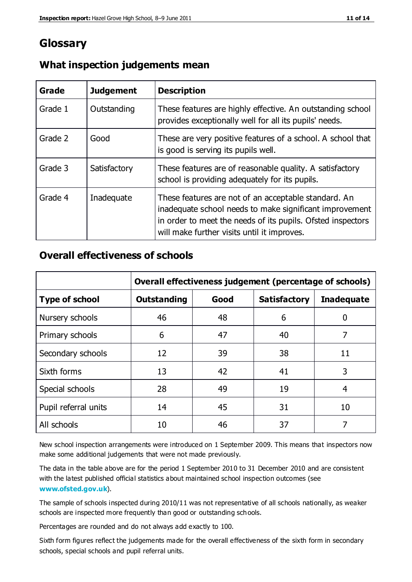## **Glossary**

| Grade   | <b>Judgement</b> | <b>Description</b>                                                                                                                                                                                                            |
|---------|------------------|-------------------------------------------------------------------------------------------------------------------------------------------------------------------------------------------------------------------------------|
| Grade 1 | Outstanding      | These features are highly effective. An outstanding school<br>provides exceptionally well for all its pupils' needs.                                                                                                          |
| Grade 2 | Good             | These are very positive features of a school. A school that<br>is good is serving its pupils well.                                                                                                                            |
| Grade 3 | Satisfactory     | These features are of reasonable quality. A satisfactory<br>school is providing adequately for its pupils.                                                                                                                    |
| Grade 4 | Inadequate       | These features are not of an acceptable standard. An<br>inadequate school needs to make significant improvement<br>in order to meet the needs of its pupils. Ofsted inspectors<br>will make further visits until it improves. |

#### **What inspection judgements mean**

#### **Overall effectiveness of schools**

|                       | Overall effectiveness judgement (percentage of schools) |      |                     |                   |
|-----------------------|---------------------------------------------------------|------|---------------------|-------------------|
| <b>Type of school</b> | <b>Outstanding</b>                                      | Good | <b>Satisfactory</b> | <b>Inadequate</b> |
| Nursery schools       | 46                                                      | 48   | 6                   |                   |
| Primary schools       | 6                                                       | 47   | 40                  | 7                 |
| Secondary schools     | 12                                                      | 39   | 38                  | 11                |
| Sixth forms           | 13                                                      | 42   | 41                  | 3                 |
| Special schools       | 28                                                      | 49   | 19                  | 4                 |
| Pupil referral units  | 14                                                      | 45   | 31                  | 10                |
| All schools           | 10                                                      | 46   | 37                  |                   |

New school inspection arrangements were introduced on 1 September 2009. This means that inspectors now make some additional judgements that were not made previously.

The data in the table above are for the period 1 September 2010 to 31 December 2010 and are consistent with the latest published official statistics about maintained school inspection outcomes (see **[www.ofsted.gov.uk](http://www.ofsted.gov.uk/)**).

The sample of schools inspected during 2010/11 was not representative of all schools nationally, as weaker schools are inspected more frequently than good or outstanding schools.

Percentages are rounded and do not always add exactly to 100.

Sixth form figures reflect the judgements made for the overall effectiveness of the sixth form in secondary schools, special schools and pupil referral units.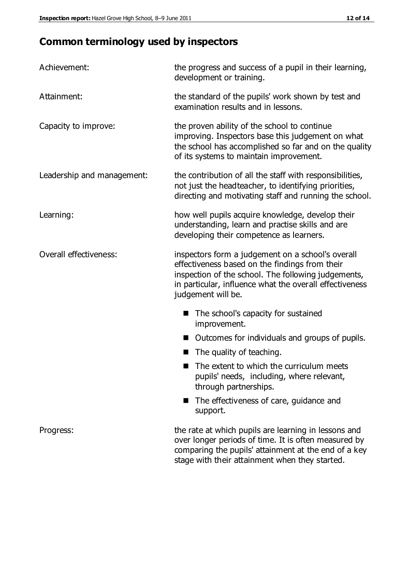## **Common terminology used by inspectors**

| Achievement:               | the progress and success of a pupil in their learning,<br>development or training.                                                                                                                                                          |
|----------------------------|---------------------------------------------------------------------------------------------------------------------------------------------------------------------------------------------------------------------------------------------|
| Attainment:                | the standard of the pupils' work shown by test and<br>examination results and in lessons.                                                                                                                                                   |
| Capacity to improve:       | the proven ability of the school to continue<br>improving. Inspectors base this judgement on what<br>the school has accomplished so far and on the quality<br>of its systems to maintain improvement.                                       |
| Leadership and management: | the contribution of all the staff with responsibilities,<br>not just the headteacher, to identifying priorities,<br>directing and motivating staff and running the school.                                                                  |
| Learning:                  | how well pupils acquire knowledge, develop their<br>understanding, learn and practise skills and are<br>developing their competence as learners.                                                                                            |
| Overall effectiveness:     | inspectors form a judgement on a school's overall<br>effectiveness based on the findings from their<br>inspection of the school. The following judgements,<br>in particular, influence what the overall effectiveness<br>judgement will be. |
|                            | The school's capacity for sustained<br>improvement.                                                                                                                                                                                         |
|                            | Outcomes for individuals and groups of pupils.                                                                                                                                                                                              |
|                            | The quality of teaching.                                                                                                                                                                                                                    |
|                            | The extent to which the curriculum meets<br>pupils' needs, including, where relevant,<br>through partnerships.                                                                                                                              |
|                            | The effectiveness of care, guidance and<br>support.                                                                                                                                                                                         |
| Progress:                  | the rate at which pupils are learning in lessons and<br>over longer periods of time. It is often measured by<br>comparing the pupils' attainment at the end of a key                                                                        |

stage with their attainment when they started.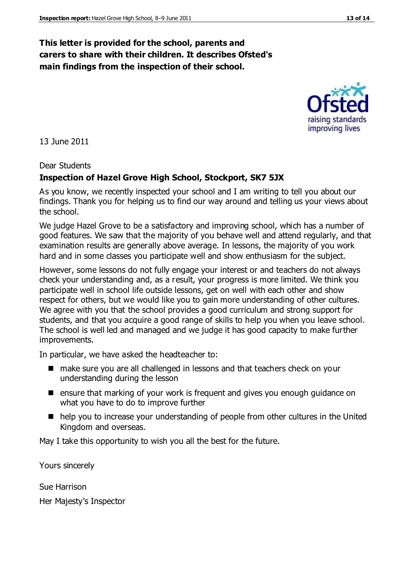#### **This letter is provided for the school, parents and carers to share with their children. It describes Ofsted's main findings from the inspection of their school.**

13 June 2011

#### Dear Students

#### **Inspection of Hazel Grove High School, Stockport, SK7 5JX**

As you know, we recently inspected your school and I am writing to tell you about our findings. Thank you for helping us to find our way around and telling us your views about the school.

We judge Hazel Grove to be a satisfactory and improving school, which has a number of good features. We saw that the majority of you behave well and attend regularly, and that examination results are generally above average. In lessons, the majority of you work hard and in some classes you participate well and show enthusiasm for the subject.

However, some lessons do not fully engage your interest or and teachers do not always check your understanding and, as a result, your progress is more limited. We think you participate well in school life outside lessons, get on well with each other and show respect for others, but we would like you to gain more understanding of other cultures. We agree with you that the school provides a good curriculum and strong support for students, and that you acquire a good range of skills to help you when you leave school. The school is well led and managed and we judge it has good capacity to make further improvements.

In particular, we have asked the headteacher to:

- make sure you are all challenged in lessons and that teachers check on your understanding during the lesson
- ensure that marking of your work is frequent and gives you enough guidance on what you have to do to improve further
- help you to increase your understanding of people from other cultures in the United Kingdom and overseas.

May I take this opportunity to wish you all the best for the future.

Yours sincerely

Sue Harrison Her Majesty's Inspector



improving lives